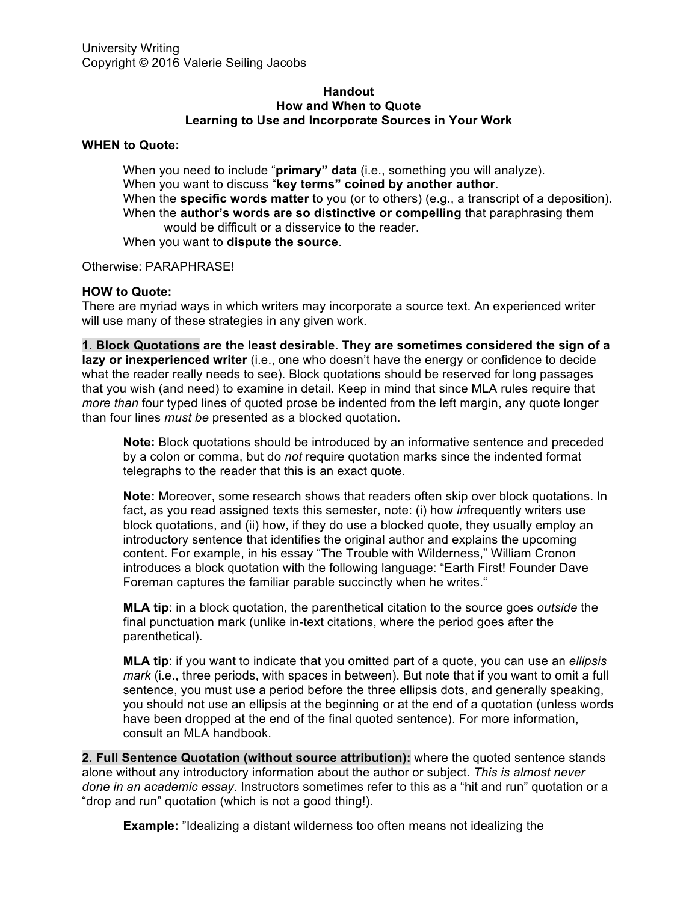## **Handout How and When to Quote Learning to Use and Incorporate Sources in Your Work**

## **WHEN to Quote:**

When you need to include "**primary" data** (i.e., something you will analyze). When you want to discuss "**key terms" coined by another author**. When the **specific words matter** to you (or to others) (e.g., a transcript of a deposition). When the **author's words are so distinctive or compelling** that paraphrasing them would be difficult or a disservice to the reader. When you want to **dispute the source**.

Otherwise: PARAPHRASE!

## **HOW to Quote:**

There are myriad ways in which writers may incorporate a source text. An experienced writer will use many of these strategies in any given work.

**1. Block Quotations are the least desirable. They are sometimes considered the sign of a lazy or inexperienced writer** (i.e., one who doesn't have the energy or confidence to decide what the reader really needs to see). Block quotations should be reserved for long passages that you wish (and need) to examine in detail. Keep in mind that since MLA rules require that *more than* four typed lines of quoted prose be indented from the left margin, any quote longer than four lines *must be* presented as a blocked quotation.

**Note:** Block quotations should be introduced by an informative sentence and preceded by a colon or comma, but do *not* require quotation marks since the indented format telegraphs to the reader that this is an exact quote.

**Note:** Moreover, some research shows that readers often skip over block quotations. In fact, as you read assigned texts this semester, note: (i) how *in*frequently writers use block quotations, and (ii) how, if they do use a blocked quote, they usually employ an introductory sentence that identifies the original author and explains the upcoming content. For example, in his essay "The Trouble with Wilderness," William Cronon introduces a block quotation with the following language: "Earth First! Founder Dave Foreman captures the familiar parable succinctly when he writes."

**MLA tip**: in a block quotation, the parenthetical citation to the source goes *outside* the final punctuation mark (unlike in-text citations, where the period goes after the parenthetical).

**MLA tip**: if you want to indicate that you omitted part of a quote, you can use an *ellipsis mark* (i.e., three periods, with spaces in between). But note that if you want to omit a full sentence, you must use a period before the three ellipsis dots, and generally speaking, you should not use an ellipsis at the beginning or at the end of a quotation (unless words have been dropped at the end of the final quoted sentence). For more information, consult an MLA handbook.

**2. Full Sentence Quotation (without source attribution):** where the quoted sentence stands alone without any introductory information about the author or subject. *This is almost never done in an academic essay.* Instructors sometimes refer to this as a "hit and run" quotation or a "drop and run" quotation (which is not a good thing!).

**Example:** "Idealizing a distant wilderness too often means not idealizing the